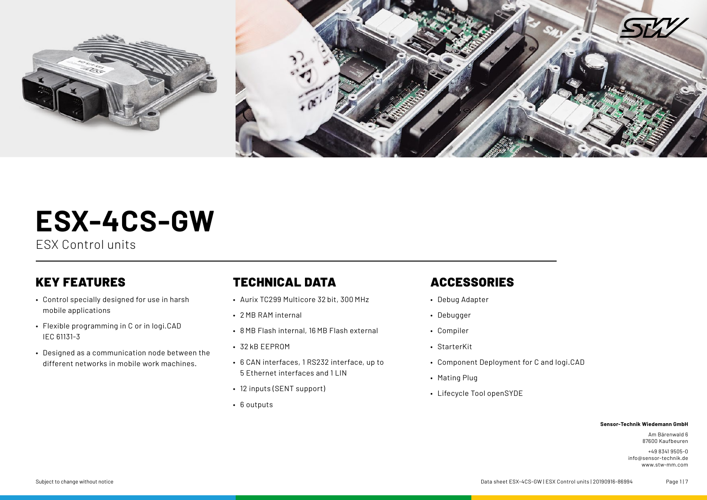

# **ESX-4CS-GW**

ESX Control units

## KEY FEATURES

- Control specially designed for use in harsh mobile applications
- Flexible programming in C or in logi.CAD IEC 61131-3
- Designed as a communication node between the different networks in mobile work machines.

## TECHNICAL DATA

- Aurix TC299 Multicore 32 bit, 300 MHz
- 2 MB RAM internal
- 8 MB Flash internal, 16 MB Flash external
- 32 kB EEPROM
- 6 CAN interfaces, 1 RS232 interface, up to 5 Ethernet interfaces and 11 IN
- 12 inputs (SENT support)
- 6 outputs

## ACCESSORIES

- Debug Adapter
- Debugger
- Compiler
- StarterKit
- Component Deployment for C and logi.CAD
- Mating Plug
- Lifecycle Tool openSYDE

#### **Sensor-Technik Wiedemann GmbH**

Am Bärenwald 6 87600 Kaufbeuren

+49 8341 9505-0 info@sensor-technik.de www.stw-mm.com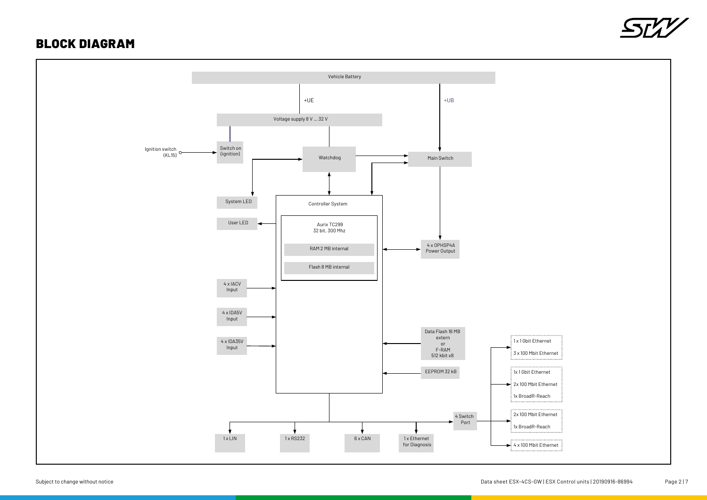### BLOCK DIAGRAM



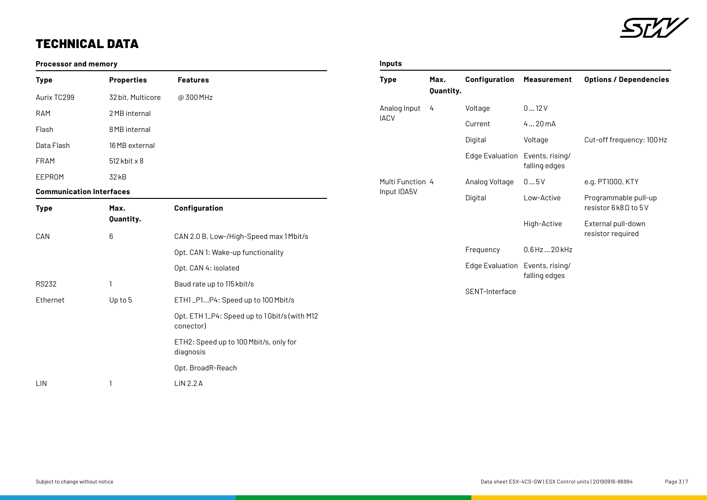

## TECHNICAL DATA

#### **Processor and memory**

| <b>Type</b>                     | <b>Properties</b>     | <b>Features</b>                                            |
|---------------------------------|-----------------------|------------------------------------------------------------|
| Aurix TC299                     | 32 bit, Multicore     | @ 300 MHz                                                  |
| RAM                             | 2 MB internal         |                                                            |
| Flash                           | 8 MB internal         |                                                            |
| Data Flash                      | 16 MB external        |                                                            |
| <b>FRAM</b>                     | $512$ kbit $\times 8$ |                                                            |
| EEPROM                          | 32 kB                 |                                                            |
| <b>Communication Interfaces</b> |                       |                                                            |
| <b>Type</b>                     | Max.<br>Quantity.     | Configuration                                              |
| CAN                             | 6                     | CAN 2.0 B, Low-/High-Speed max 1 Mbit/s                    |
|                                 |                       | Opt. CAN 1: Wake-up functionality                          |
|                                 |                       | Opt. CAN 4: isolated                                       |
| <b>RS232</b>                    | 1                     | Baud rate up to 115 kbit/s                                 |
| Ethernet                        | Up to 5               | ETH1_P1P4: Speed up to 100 Mbit/s                          |
|                                 |                       | Opt. ETH 1_P4: Speed up to 1 Gbit/s (with M12<br>conector) |
|                                 |                       | ETH2: Speed up to 100 Mbit/s, only for<br>diagnosis        |
|                                 |                       | Opt. BroadR-Reach                                          |

#### **Inputs**

|  | Type                            | Max.<br>Quantity. | Configuration                   | <b>Measurement</b> | <b>Options / Dependencies</b>                 |
|--|---------------------------------|-------------------|---------------------------------|--------------------|-----------------------------------------------|
|  | Analog Input<br><b>IACV</b>     | 4                 | Voltage                         | 012V               |                                               |
|  |                                 |                   | Current                         | 420mA              |                                               |
|  |                                 |                   | Digital                         | Voltage            | Cut-off frequency: 100 Hz                     |
|  |                                 |                   | Edge Evaluation Events, rising/ | falling edges      |                                               |
|  | Multi Function 4<br>Input IDA5V |                   | Analog Voltage                  | 05V                | e.g. PT1000, KTY                              |
|  |                                 |                   | Digital                         | Low-Active         | Programmable pull-up<br>resistor 6k8 0 to 5 V |
|  |                                 |                   |                                 | High-Active        | External pull-down<br>resistor required       |
|  |                                 |                   | Frequency                       | $0.6$ Hz $$ 20 kHz |                                               |
|  |                                 |                   | Edge Evaluation Events, rising/ | falling edges      |                                               |
|  |                                 |                   | SENT-Interface                  |                    |                                               |

LIN 1 LIN 2.2A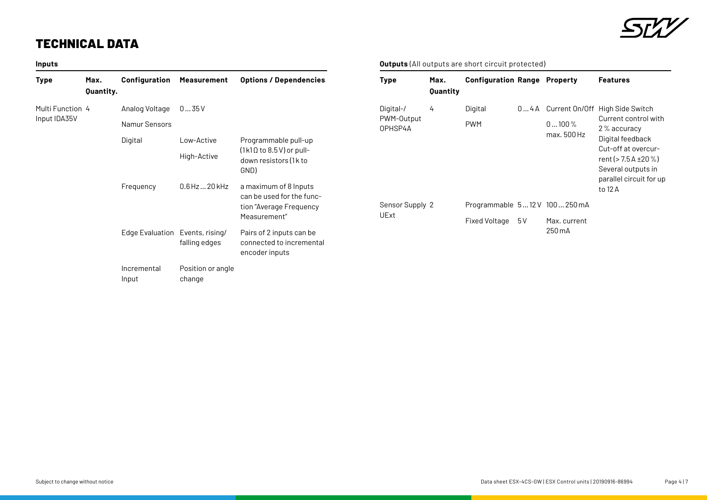## TECHNICAL DATA

| Inputs           |                   |                                 |                             |                                                                                               |
|------------------|-------------------|---------------------------------|-----------------------------|-----------------------------------------------------------------------------------------------|
| <b>Type</b>      | Max.<br>Quantity. | Configuration                   | <b>Measurement</b>          | <b>Options / Dependencies</b>                                                                 |
| Multi Function 4 |                   | Analog Voltage                  | 035V                        |                                                                                               |
| Input IDA35V     |                   | Namur Sensors                   |                             |                                                                                               |
|                  |                   | Digital                         | Low-Active                  | Programmable pull-up                                                                          |
|                  |                   |                                 | High-Active                 | $(1k1\Omega$ to 8.5 V) or pull-<br>down resistors (1k to<br>GND)                              |
|                  |                   | Frequency                       | $0.6$ Hz $$ 20 kHz          | a maximum of 8 Inputs<br>can be used for the func-<br>tion "Average Frequency<br>Measurement" |
|                  |                   | Edge Evaluation Events, rising/ | falling edges               | Pairs of 2 inputs can be<br>connected to incremental<br>encoder inputs                        |
|                  |                   | Incremental<br>Input            | Position or angle<br>change |                                                                                               |



#### **Outputs** (All outputs are short circuit protected)

| <b>Type</b>                        | Max.<br>Quantity | <b>Configuration Range Property</b>           |     |                         | <b>Features</b>                                                                                                                                                                                                    |
|------------------------------------|------------------|-----------------------------------------------|-----|-------------------------|--------------------------------------------------------------------------------------------------------------------------------------------------------------------------------------------------------------------|
| Digital-/<br>PWM-Output<br>OPHSP4A | 4                | Digital<br><b>PWM</b>                         |     | $0100\%$<br>max. 500 Hz | 04A Current On/Off High Side Switch<br>Current control with<br>2 % accuracy<br>Digital feedback<br>Cut-off at overcur-<br>rent ( $> 7.5$ A $\pm 20$ %)<br>Several outputs in<br>parallel circuit for up<br>to 12 A |
| Sensor Supply 2<br>UExt            |                  | Programmable 512 V 100250 mA<br>Fixed Voltage | 5 V | Max. current<br>250 m A |                                                                                                                                                                                                                    |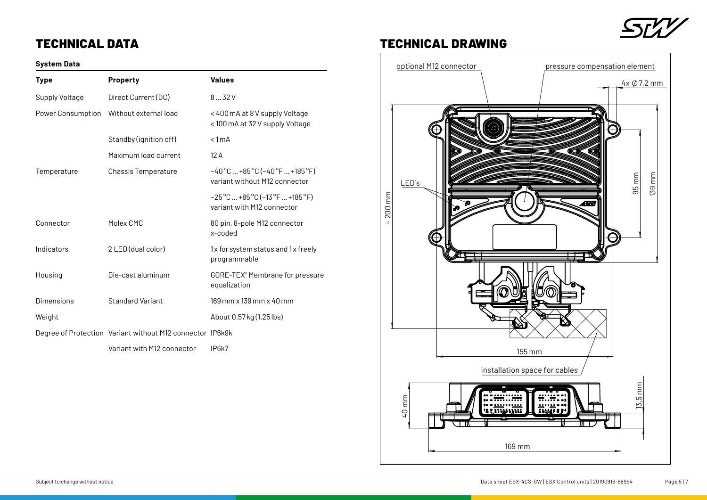## STZ

## TECHNICAL DATA

#### **System Data**

| <b>Type</b>       | <b>Property</b>                                           | <b>Values</b>                                                                                            |
|-------------------|-----------------------------------------------------------|----------------------------------------------------------------------------------------------------------|
| Supply Voltage    | Direct Current (DC)                                       | 832V                                                                                                     |
| Power Consumption | Without external load                                     | < 400 mA at 8 V supply Voltage<br>< 100 mA at 32 V supply Voltage                                        |
|                   | Standby (ignition off)                                    | $< 1$ mA                                                                                                 |
|                   | Maximum load current                                      | 12A                                                                                                      |
| Temperature       | <b>Chassis Temperature</b>                                | $-40^{\circ}$ C  +85 $^{\circ}$ C (-40 $^{\circ}$ F  +185 $^{\circ}$ F)<br>variant without M12 connector |
|                   |                                                           | $-25^{\circ}$ C  +85 $^{\circ}$ C (-13 $^{\circ}$ F  +185 $^{\circ}$ F)<br>variant with M12 connector    |
| Connector         | Molex CMC                                                 | 80 pin, 8-pole M12 connector<br>behon-x                                                                  |
| Indicators        | 2 LED (dual color)                                        | 1x for system status and 1x freely<br>programmable                                                       |
| Housing           | Die-cast aluminum                                         | GORE-TEX® Membrane for pressure<br>equalization                                                          |
| Dimensions        | <b>Standard Variant</b>                                   | 169 mm x 139 mm x 40 mm                                                                                  |
| Weight            |                                                           | About 0.57 kg (1.25 lbs)                                                                                 |
|                   | Degree of Protection Variant without M12 connector IP6k9k |                                                                                                          |
|                   | Variant with M12 connector                                | IP6k7                                                                                                    |

## TECHNICAL DRAWING

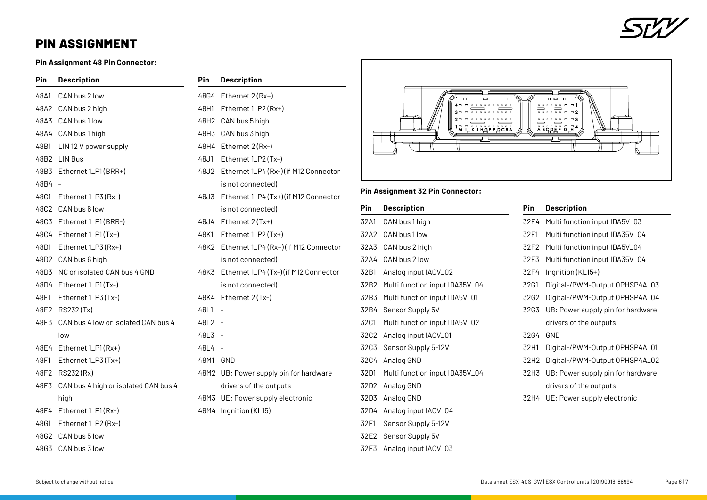

## PIN ASSIGNMENT

**Pin Assignment 48 Pin Connector:**

| Pin    | <b>Description</b>                        | Pin      | <b>Description</b>                         |
|--------|-------------------------------------------|----------|--------------------------------------------|
| 48A1   | CAN bus 2 low                             |          | 48G4 Ethernet 2 (Rx+)                      |
|        | 48A2 CAN bus 2 high                       |          | 48H1 Ethernet 1_P2 (Rx+)                   |
|        | 48A3 CAN bus 1 low                        |          | 48H2 CAN bus 5 high                        |
|        | 48A4 CAN bus 1 high                       |          | 48H3 CAN bus 3 high                        |
| 48B1   | LIN 12 V power supply                     |          | 48H4 Ethernet 2 (Rx-)                      |
|        | 48B2 LIN Bus                              | 48J1     | Ethernet 1_P2 (Tx-)                        |
|        | 48B3 Ethernet 1_P1(BRR+)                  |          | 48J2 Ethernet 1_P4 (Rx-) (if M12 Connector |
| 48B4 - |                                           |          | is not connected)                          |
| 48C1   | Ethernet $1_P3(Rx-)$                      | 48J3     | Ethernet 1_P4 (Tx+) (if M12 Connector      |
|        | 48C2 CAN bus 6 low                        |          | is not connected)                          |
|        | 48C3 Ethernet 1_P1(BRR-)                  |          | 48J4 Ethernet 2 (Tx+)                      |
|        | 48C4 Ethernet 1_P1(Tx+)                   | 48K1     | Ethernet $1_P2(Tx+)$                       |
| 48D1   | Ethernet 1_P3 (Rx+)                       |          | 48K2 Ethernet 1_P4 (Rx+) (if M12 Connector |
|        | 48D2 CAN bus 6 high                       |          | is not connected)                          |
|        | 48D3 NC or isolated CAN bus 4 GND         |          | 48K3 Ethernet 1_P4 (Tx-) (if M12 Connector |
|        | 48D4 Ethernet 1_P1(Tx-)                   |          | is not connected)                          |
| 48E1   | Ethernet 1_P3 (Tx-)                       |          | 48K4 Ethernet 2 (Tx-)                      |
|        | 48E2 RS232(Tx)                            | 48L1     | $\overline{a}$                             |
| 48E3   | CAN bus 4 low or isolated CAN bus 4       | $48L2 -$ |                                            |
|        | low                                       | $48L3 -$ |                                            |
|        | 48E4 Ethernet 1_P1(Rx+)                   | 48L4 -   |                                            |
| 48F1   | Ethernet 1_P3 (Tx+)                       | 48M1     | GND                                        |
|        | 48F2 RS232(Rx)                            |          | 48M2 UB: Power supply pin for hardware     |
|        | 48F3 CAN bus 4 high or isolated CAN bus 4 |          | drivers of the outputs                     |
|        | high                                      |          | 48M3 UE: Power supply electronic           |
|        | 48F4 Ethernet 1_P1(Rx-)                   |          | 48M4 Ingnition (KL15)                      |
| 48G1   | Ethernet 1_P2 (Rx-)                       |          |                                            |
| 48G2   | CAN bus 5 low                             |          |                                            |



#### **Pin Assignment 32 Pin Connector:**

|      | Pin              | <b>Description</b>             | Pin         |
|------|------------------|--------------------------------|-------------|
|      | 32A1             | CAN bus 1 high                 | 32E4        |
|      | 32A2             | CAN bus 1 low                  | 32F1        |
| ctor | 32A3             | CAN bus 2 high                 | 32F2        |
|      | 32A4             | CAN bus 2 low                  | 32F3        |
| :tor | 32B1             | Analog input IACV_02           | 32F4        |
|      | 32B2             | Multi function input IDA35V_04 | 32G1        |
|      | 32B3             | Multi function input IDA5V_01  | <b>32G2</b> |
|      | 32B4             | Sensor Supply 5V               | <b>32G3</b> |
|      | 32C1             | Multi function input IDA5V_02  |             |
|      | 32C2             | Analog input IACV_01           | 32G4        |
|      | 32C3             | Sensor Supply 5-12V            | 32H1        |
|      | 32C4             | Analog GND                     | 32H2        |
| è    | 32D1             | Multi function input IDA35V_04 | 32H3        |
|      | 32D <sub>2</sub> | Analog GND                     |             |
|      | 32D3             | Analog GND                     | 32H4        |
|      | 32D4             | Analog input IACV_04           |             |
|      | 32E1             | Sensor Supply 5-12V            |             |
|      | 32E2             | Sensor Supply 5V               |             |
|      |                  |                                |             |

32E3 Analog input IACV\_03

|             | DESCHIPLION                       |
|-------------|-----------------------------------|
| 32E4        | Multi function input IDA5V_03     |
| 32F1        | Multi function input IDA35V_04    |
| 32F2        | Multi function input IDA5V_04     |
| 32F3        | Multi function input IDA35V_04    |
| 32F4        | Ingnition (KL15+)                 |
| 32G1        | Digital-/PWM-Output OPHSP4A_03    |
| 32G2        | Digital-/PWM-Output OPHSP4A_04    |
| <b>32G3</b> | UB: Power supply pin for hardware |
|             | drivers of the outputs            |
| 32G4        | GND                               |
| 32H1        | Digital-/PWM-Output OPHSP4A_01    |
| 32H2        | Digital-/PWM-Output OPHSP4A_02    |
| 32H3        | UB: Power supply pin for hardware |
|             | drivers of the outputs            |
| 32H4        | UE: Power supply electronic       |
|             |                                   |

**Pin Description**

48G3 CAN bus 3 low